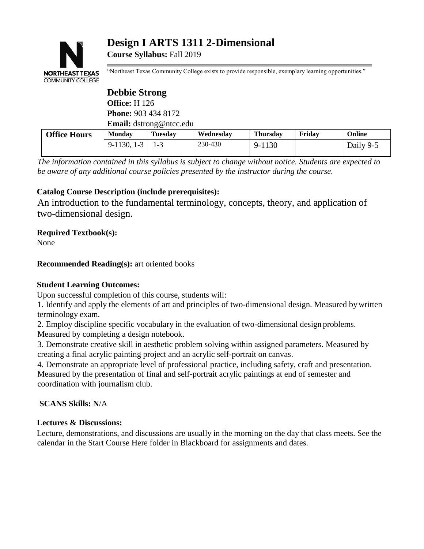

# **Design I ARTS 1311 2-Dimensional**

**Course Syllabus:** Fall 2019

"Northeast Texas Community College exists to provide responsible, exemplary learning opportunities."

|                     | <b>Debbie Strong</b>           |                |           |                 |        |           |
|---------------------|--------------------------------|----------------|-----------|-----------------|--------|-----------|
|                     | <b>Office:</b> H 126           |                |           |                 |        |           |
|                     | <b>Phone: 903 434 8172</b>     |                |           |                 |        |           |
|                     | <b>Email:</b> dstrong@ntcc.edu |                |           |                 |        |           |
| <b>Office Hours</b> | <b>Monday</b>                  | <b>Tuesday</b> | Wednesday | <b>Thursday</b> | Fridav | Online    |
|                     | $9-1130, 1-3$                  | $1 - 3$        | 230-430   | 9-1130          |        | Daily 9-5 |

*The information contained in this syllabus is subject to change without notice. Students are expected to be aware of any additional course policies presented by the instructor during the course.*

# **Catalog Course Description (include prerequisites):**

An introduction to the fundamental terminology, concepts, theory, and application of two-dimensional design.

# **Required Textbook(s):**

None

**Recommended Reading(s):** art oriented books

# **Student Learning Outcomes:**

Upon successful completion of this course, students will:

1. Identify and apply the elements of art and principles of two-dimensional design. Measured bywritten terminology exam.

2. Employ discipline specific vocabulary in the evaluation of two-dimensional design problems. Measured by completing a design notebook.

3. Demonstrate creative skill in aesthetic problem solving within assigned parameters. Measured by creating a final acrylic painting project and an acrylic self-portrait on canvas.

4. Demonstrate an appropriate level of professional practice, including safety, craft and presentation. Measured by the presentation of final and self-portrait acrylic paintings at end of semester and coordination with journalism club.

**SCANS Skills: N**/A

# **Lectures & Discussions:**

Lecture, demonstrations, and discussions are usually in the morning on the day that class meets. See the calendar in the Start Course Here folder in Blackboard for assignments and dates.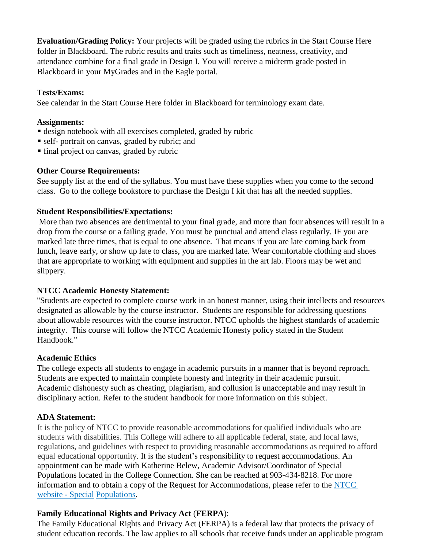**Evaluation/Grading Policy:** Your projects will be graded using the rubrics in the Start Course Here folder in Blackboard. The rubric results and traits such as timeliness, neatness, creativity, and attendance combine for a final grade in Design I. You will receive a midterm grade posted in Blackboard in your MyGrades and in the Eagle portal.

#### **Tests/Exams:**

See calendar in the Start Course Here folder in Blackboard for terminology exam date.

### **Assignments:**

- design notebook with all exercises completed, graded by rubric
- self- portrait on canvas, graded by rubric; and
- final project on canvas, graded by rubric

#### **Other Course Requirements:**

See supply list at the end of the syllabus. You must have these supplies when you come to the second class. Go to the college bookstore to purchase the Design I kit that has all the needed supplies.

#### **Student Responsibilities/Expectations:**

More than two absences are detrimental to your final grade, and more than four absences will result in a drop from the course or a failing grade. You must be punctual and attend class regularly. IF you are marked late three times, that is equal to one absence. That means if you are late coming back from lunch, leave early, or show up late to class, you are marked late. Wear comfortable clothing and shoes that are appropriate to working with equipment and supplies in the art lab. Floors may be wet and slippery.

#### **NTCC Academic Honesty Statement:**

"Students are expected to complete course work in an honest manner, using their intellects and resources designated as allowable by the course instructor. Students are responsible for addressing questions about allowable resources with the course instructor. NTCC upholds the highest standards of academic integrity. This course will follow the NTCC Academic Honesty policy stated in the Student Handbook."

#### **Academic Ethics**

The college expects all students to engage in academic pursuits in a manner that is beyond reproach. Students are expected to maintain complete honesty and integrity in their academic pursuit. Academic dishonesty such as cheating, plagiarism, and collusion is unacceptable and may result in disciplinary action. Refer to the student handbook for more information on this subject.

# **ADA Statement:**

It is the policy of NTCC to provide reasonable accommodations for qualified individuals who are students with disabilities. This College will adhere to all applicable federal, state, and local laws, regulations, and guidelines with respect to providing reasonable accommodations as required to afford equal educational opportunity. It is the student's responsibility to request accommodations. An appointment can be made with Katherine Belew, Academic Advisor/Coordinator of Special Populations located in the College Connection. She can be reached at 903-434-8218. For more information and to obtain a copy of the Request for Accommodations, please refer to the [NTCC](http://www.ntcc.edu/index.php?module=Pagesetter&func=viewpub&tid=111&pid=1)  [website -](http://www.ntcc.edu/index.php?module=Pagesetter&func=viewpub&tid=111&pid=1) Special [Populations.](http://www.ntcc.edu/index.php?module=Pagesetter&func=viewpub&tid=111&pid=1)

# **Family Educational Rights and Privacy Act** (**FERPA**):

The Family Educational Rights and Privacy Act (FERPA) is a federal law that protects the privacy of student education records. The law applies to all schools that receive funds under an applicable program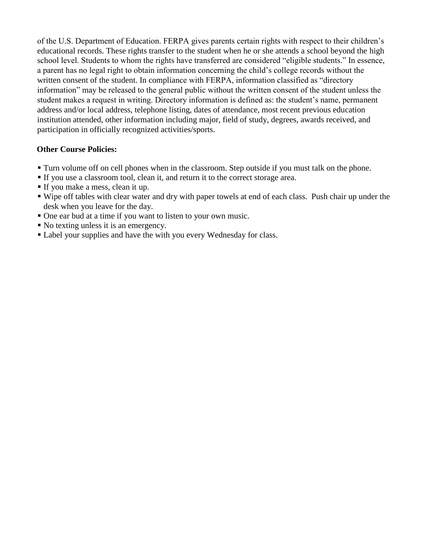of the U.S. Department of Education. FERPA gives parents certain rights with respect to their children's educational records. These rights transfer to the student when he or she attends a school beyond the high school level. Students to whom the rights have transferred are considered "eligible students." In essence, a parent has no legal right to obtain information concerning the child's college records without the written consent of the student. In compliance with FERPA, information classified as "directory information" may be released to the general public without the written consent of the student unless the student makes a request in writing. Directory information is defined as: the student's name, permanent address and/or local address, telephone listing, dates of attendance, most recent previous education institution attended, other information including major, field of study, degrees, awards received, and participation in officially recognized activities/sports.

# **Other Course Policies:**

- Turn volume off on cell phones when in the classroom. Step outside if you must talk on the phone.
- If you use a classroom tool, clean it, and return it to the correct storage area.
- If you make a mess, clean it up.
- Wipe off tables with clear water and dry with paper towels at end of each class. Push chair up under the desk when you leave for the day.
- One ear bud at a time if you want to listen to your own music.
- No texting unless it is an emergency.
- **Label your supplies and have the with you every Wednesday for class.**